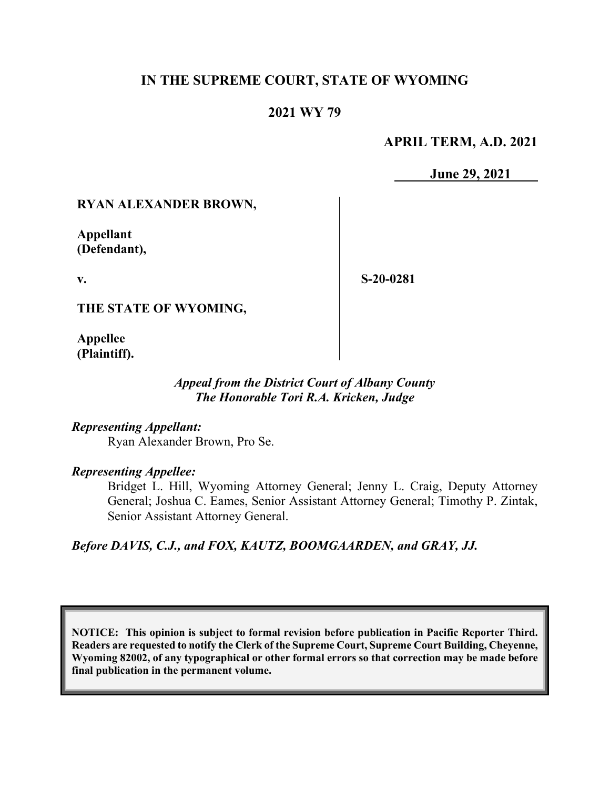## **IN THE SUPREME COURT, STATE OF WYOMING**

## **2021 WY 79**

### **APRIL TERM, A.D. 2021**

**June 29, 2021**

### **RYAN ALEXANDER BROWN,**

**Appellant (Defendant),**

**v.**

**S-20-0281**

**THE STATE OF WYOMING,**

**Appellee (Plaintiff).**

### *Appeal from the District Court of Albany County The Honorable Tori R.A. Kricken, Judge*

#### *Representing Appellant:*

Ryan Alexander Brown, Pro Se.

#### *Representing Appellee:*

Bridget L. Hill, Wyoming Attorney General; Jenny L. Craig, Deputy Attorney General; Joshua C. Eames, Senior Assistant Attorney General; Timothy P. Zintak, Senior Assistant Attorney General.

*Before DAVIS, C.J., and FOX, KAUTZ, BOOMGAARDEN, and GRAY, JJ.*

**NOTICE: This opinion is subject to formal revision before publication in Pacific Reporter Third. Readers are requested to notify the Clerk of the Supreme Court, Supreme Court Building, Cheyenne, Wyoming 82002, of any typographical or other formal errors so that correction may be made before final publication in the permanent volume.**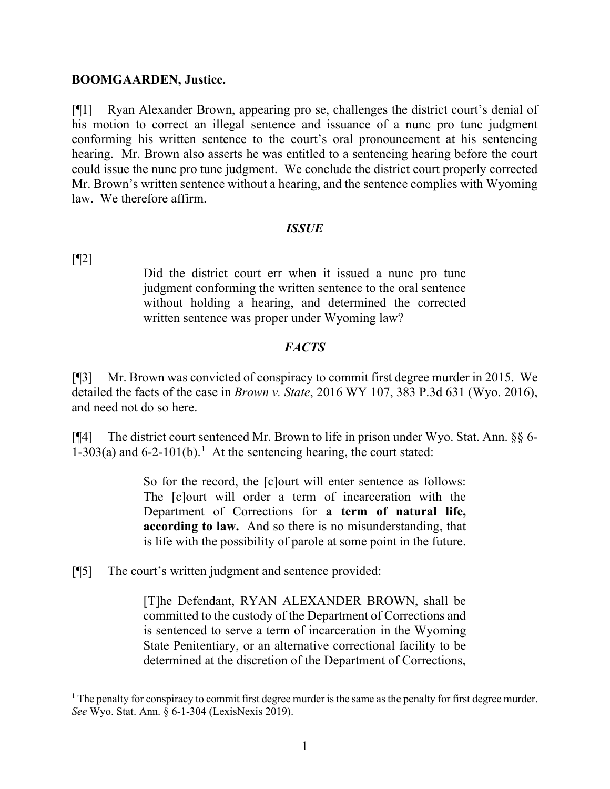#### **BOOMGAARDEN, Justice.**

[¶1] Ryan Alexander Brown, appearing pro se, challenges the district court's denial of his motion to correct an illegal sentence and issuance of a nunc pro tunc judgment conforming his written sentence to the court's oral pronouncement at his sentencing hearing. Mr. Brown also asserts he was entitled to a sentencing hearing before the court could issue the nunc pro tunc judgment. We conclude the district court properly corrected Mr. Brown's written sentence without a hearing, and the sentence complies with Wyoming law. We therefore affirm.

### *ISSUE*

[¶2]

Did the district court err when it issued a nunc pro tunc judgment conforming the written sentence to the oral sentence without holding a hearing, and determined the corrected written sentence was proper under Wyoming law?

### *FACTS*

[¶3] Mr. Brown was convicted of conspiracy to commit first degree murder in 2015. We detailed the facts of the case in *Brown v. State*, 2016 WY 107, 383 P.3d 631 (Wyo. 2016), and need not do so here.

[¶4] The district court sentenced Mr. Brown to life in prison under Wyo. Stat. Ann. §§ 6- 1-303(a) and 6-2-101(b). [1](#page-1-0) At the sentencing hearing, the court stated:

> So for the record, the [c]ourt will enter sentence as follows: The [c]ourt will order a term of incarceration with the Department of Corrections for **a term of natural life, according to law.** And so there is no misunderstanding, that is life with the possibility of parole at some point in the future.

[¶5] The court's written judgment and sentence provided:

[T]he Defendant, RYAN ALEXANDER BROWN, shall be committed to the custody of the Department of Corrections and is sentenced to serve a term of incarceration in the Wyoming State Penitentiary, or an alternative correctional facility to be determined at the discretion of the Department of Corrections,

<span id="page-1-0"></span><sup>&</sup>lt;sup>1</sup> The penalty for conspiracy to commit first degree murder is the same as the penalty for first degree murder. *See* Wyo. Stat. Ann. § 6-1-304 (LexisNexis 2019).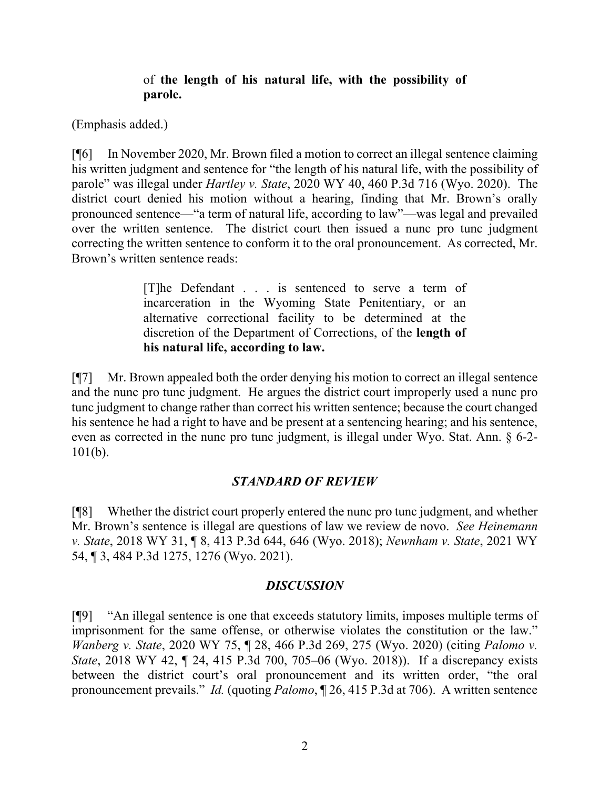## of **the length of his natural life, with the possibility of parole.**

(Emphasis added.)

[¶6] In November 2020, Mr. Brown filed a motion to correct an illegal sentence claiming his written judgment and sentence for "the length of his natural life, with the possibility of parole" was illegal under *Hartley v. State*, 2020 WY 40, 460 P.3d 716 (Wyo. 2020). The district court denied his motion without a hearing, finding that Mr. Brown's orally pronounced sentence—"a term of natural life, according to law"—was legal and prevailed over the written sentence. The district court then issued a nunc pro tunc judgment correcting the written sentence to conform it to the oral pronouncement. As corrected, Mr. Brown's written sentence reads:

> [T]he Defendant . . . is sentenced to serve a term of incarceration in the Wyoming State Penitentiary, or an alternative correctional facility to be determined at the discretion of the Department of Corrections, of the **length of his natural life, according to law.**

[¶7] Mr. Brown appealed both the order denying his motion to correct an illegal sentence and the nunc pro tunc judgment. He argues the district court improperly used a nunc pro tunc judgment to change rather than correct his written sentence; because the court changed his sentence he had a right to have and be present at a sentencing hearing; and his sentence, even as corrected in the nunc pro tunc judgment, is illegal under Wyo. Stat. Ann. § 6-2- 101(b).

# *STANDARD OF REVIEW*

[¶8] Whether the district court properly entered the nunc pro tunc judgment, and whether Mr. Brown's sentence is illegal are questions of law we review de novo. *See Heinemann v. State*, 2018 WY 31, ¶ 8, 413 P.3d 644, 646 (Wyo. 2018); *Newnham v. State*, 2021 WY 54, ¶ 3, 484 P.3d 1275, 1276 (Wyo. 2021).

## *DISCUSSION*

[¶9] "An illegal sentence is one that exceeds statutory limits, imposes multiple terms of imprisonment for the same offense, or otherwise violates the constitution or the law." *Wanberg v. State*, 2020 WY 75, ¶ 28, 466 P.3d 269, 275 (Wyo. 2020) (citing *Palomo v. State*, 2018 WY 42, ¶ 24, 415 P.3d 700, 705–06 (Wyo. 2018)). If a discrepancy exists between the district court's oral pronouncement and its written order, "the oral pronouncement prevails." *Id.* (quoting *Palomo*, ¶ 26, 415 P.3d at 706). A written sentence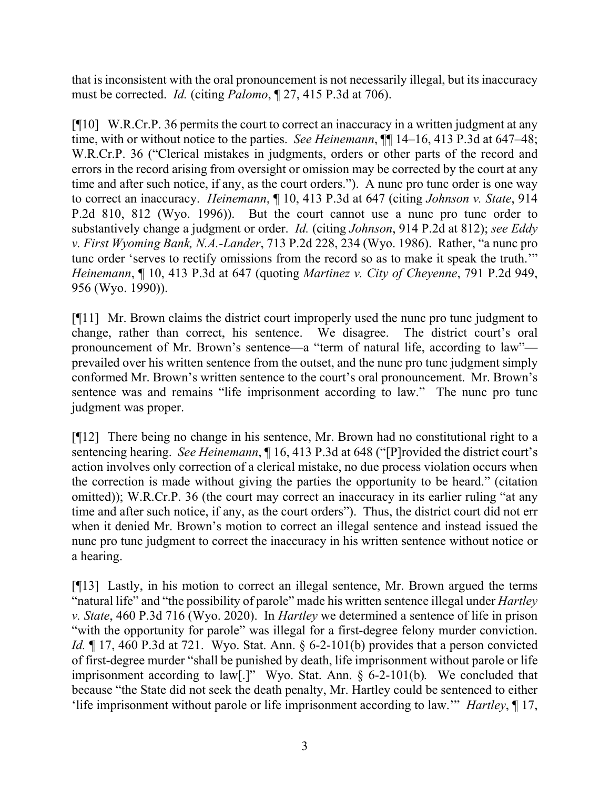that is inconsistent with the oral pronouncement is not necessarily illegal, but its inaccuracy must be corrected. *Id.* (citing *Palomo*, ¶ 27, 415 P.3d at 706).

[¶10] W.R.Cr.P. 36 permits the court to correct an inaccuracy in a written judgment at any time, with or without notice to the parties. *See Heinemann*,  $\P\P$  14–16, 413 P.3d at 647–48; W.R.Cr.P. 36 ("Clerical mistakes in judgments, orders or other parts of the record and errors in the record arising from oversight or omission may be corrected by the court at any time and after such notice, if any, as the court orders."). A nunc pro tunc order is one way to correct an inaccuracy. *Heinemann*, ¶ 10, 413 P.3d at 647 (citing *Johnson v. State*, 914 P.2d 810, 812 (Wyo. 1996)). But the court cannot use a nunc pro tunc order to substantively change a judgment or order. *Id.* (citing *Johnson*, 914 P.2d at 812); *see Eddy v. First Wyoming Bank, N.A.-Lander*, 713 P.2d 228, 234 (Wyo. 1986). Rather, "a nunc pro tunc order 'serves to rectify omissions from the record so as to make it speak the truth.'" *Heinemann*, ¶ 10, 413 P.3d at 647 (quoting *Martinez v. City of Cheyenne*, 791 P.2d 949, 956 (Wyo. 1990)).

[¶11] Mr. Brown claims the district court improperly used the nunc pro tunc judgment to change, rather than correct, his sentence. We disagree. The district court's oral pronouncement of Mr. Brown's sentence—a "term of natural life, according to law" prevailed over his written sentence from the outset, and the nunc pro tunc judgment simply conformed Mr. Brown's written sentence to the court's oral pronouncement. Mr. Brown's sentence was and remains "life imprisonment according to law." The nunc pro tunc judgment was proper.

[¶12] There being no change in his sentence, Mr. Brown had no constitutional right to a sentencing hearing. *See Heinemann*, ¶ 16, 413 P.3d at 648 ("[P]rovided the district court's action involves only correction of a clerical mistake, no due process violation occurs when the correction is made without giving the parties the opportunity to be heard." (citation omitted)); W.R.Cr.P. 36 (the court may correct an inaccuracy in its earlier ruling "at any time and after such notice, if any, as the court orders"). Thus, the district court did not err when it denied Mr. Brown's motion to correct an illegal sentence and instead issued the nunc pro tunc judgment to correct the inaccuracy in his written sentence without notice or a hearing.

[¶13] Lastly, in his motion to correct an illegal sentence, Mr. Brown argued the terms "natural life" and "the possibility of parole" made his written sentence illegal under *Hartley v. State*, 460 P.3d 716 (Wyo. 2020). In *Hartley* we determined a sentence of life in prison "with the opportunity for parole" was illegal for a first-degree felony murder conviction. *Id.* ¶ 17, 460 P.3d at 721. Wyo. Stat. Ann. § 6-2-101(b) provides that a person convicted of first-degree murder "shall be punished by death, life imprisonment without parole or life imprisonment according to law[.]" Wyo. Stat. Ann. § 6-2-101(b)*.* We concluded that because "the State did not seek the death penalty, Mr. Hartley could be sentenced to either 'life imprisonment without parole or life imprisonment according to law.'" *Hartley*, ¶ 17,